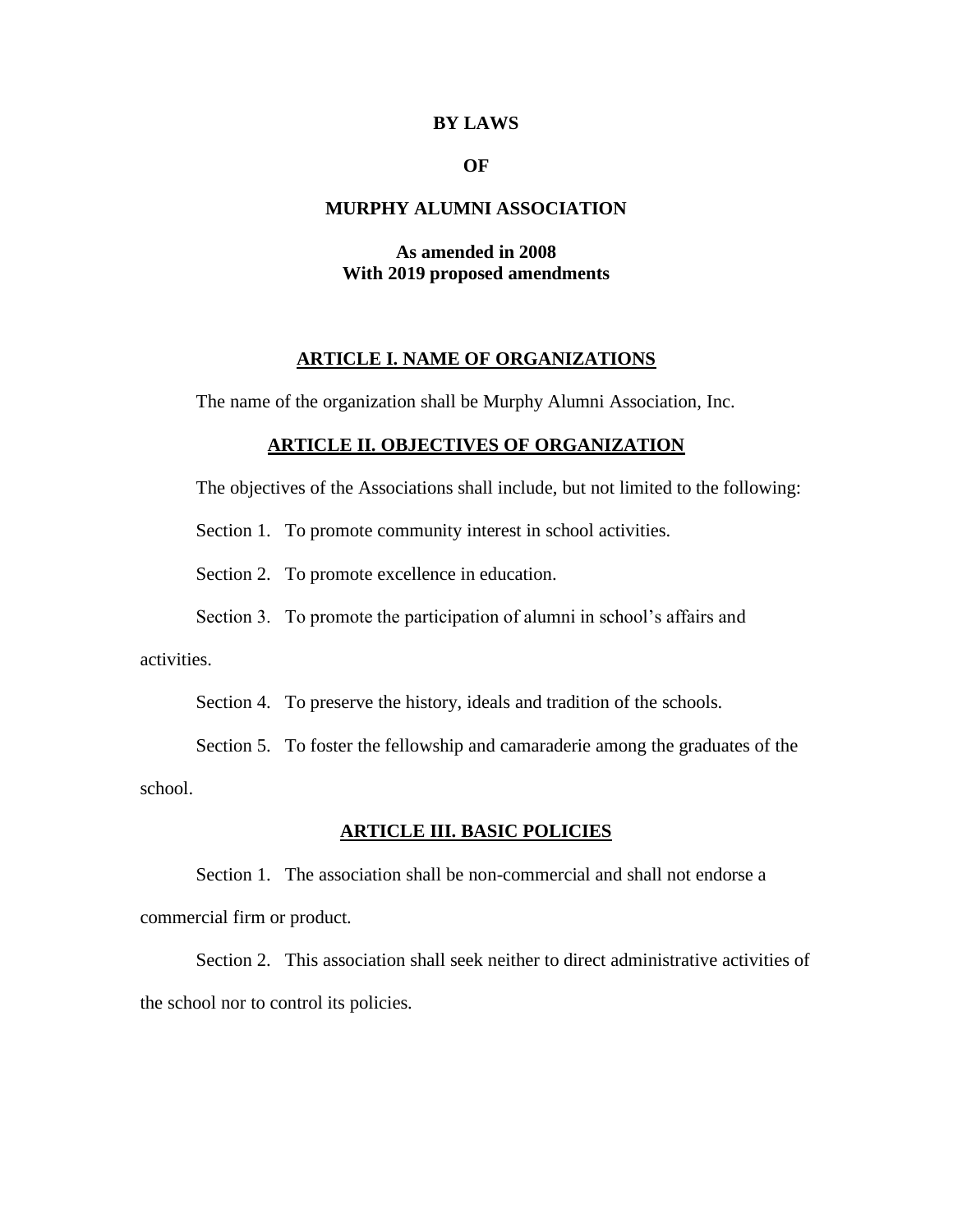### **BY LAWS**

# **OF**

# **MURPHY ALUMNI ASSOCIATION**

# **As amended in 2008 With 2019 proposed amendments**

# **ARTICLE I. NAME OF ORGANIZATIONS**

The name of the organization shall be Murphy Alumni Association, Inc.

# **ARTICLE II. OBJECTIVES OF ORGANIZATION**

The objectives of the Associations shall include, but not limited to the following:

Section 1. To promote community interest in school activities.

Section 2. To promote excellence in education.

Section 3. To promote the participation of alumni in school's affairs and

activities.

Section 4. To preserve the history, ideals and tradition of the schools.

Section 5. To foster the fellowship and camaraderie among the graduates of the school.

### **ARTICLE III. BASIC POLICIES**

Section 1. The association shall be non-commercial and shall not endorse a commercial firm or product.

Section 2. This association shall seek neither to direct administrative activities of the school nor to control its policies.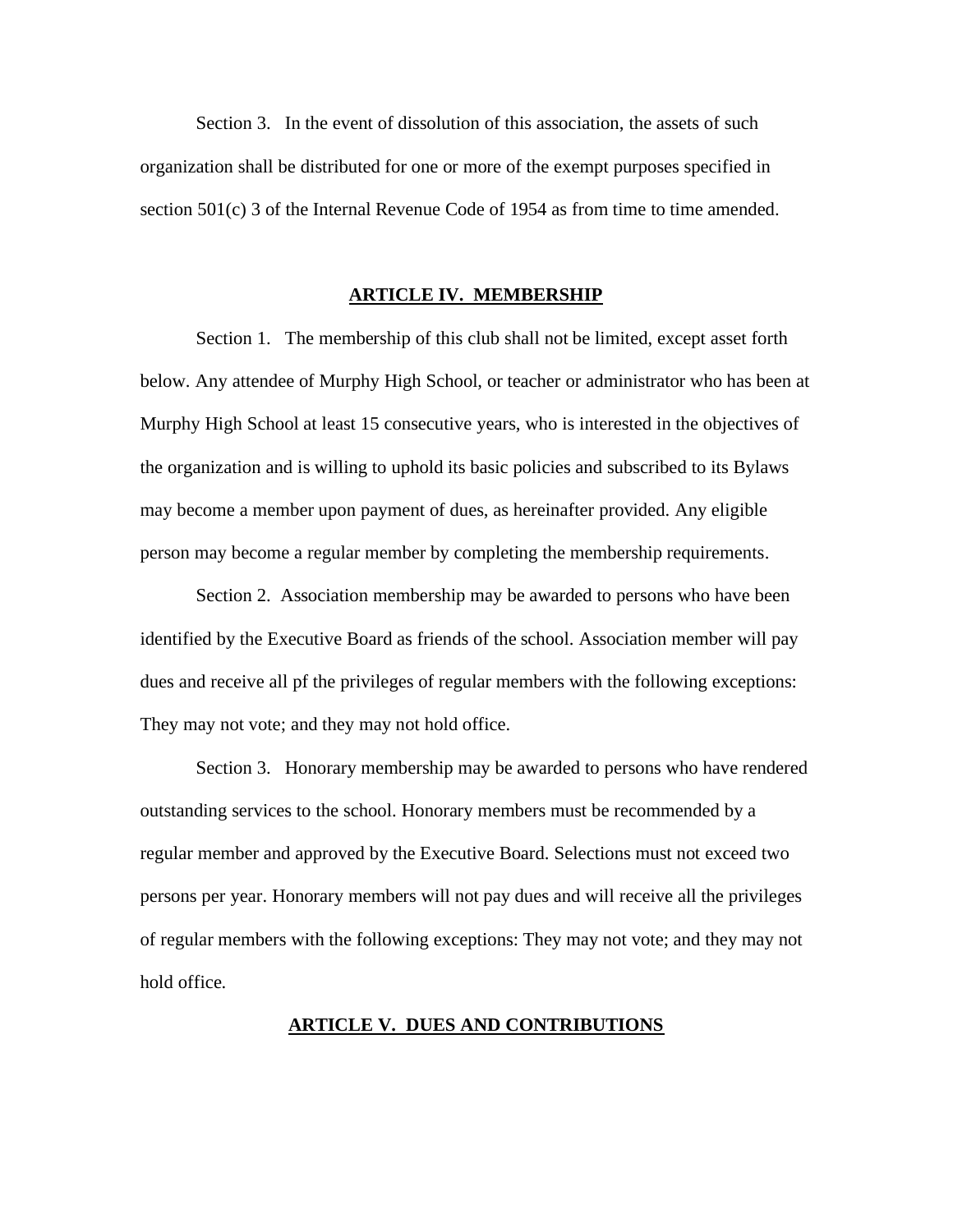Section 3. In the event of dissolution of this association, the assets of such organization shall be distributed for one or more of the exempt purposes specified in section 501(c) 3 of the Internal Revenue Code of 1954 as from time to time amended.

#### **ARTICLE IV. MEMBERSHIP**

Section 1. The membership of this club shall not be limited, except asset forth below. Any attendee of Murphy High School, or teacher or administrator who has been at Murphy High School at least 15 consecutive years, who is interested in the objectives of the organization and is willing to uphold its basic policies and subscribed to its Bylaws may become a member upon payment of dues, as hereinafter provided. Any eligible person may become a regular member by completing the membership requirements.

Section 2. Association membership may be awarded to persons who have been identified by the Executive Board as friends of the school. Association member will pay dues and receive all pf the privileges of regular members with the following exceptions: They may not vote; and they may not hold office.

Section 3. Honorary membership may be awarded to persons who have rendered outstanding services to the school. Honorary members must be recommended by a regular member and approved by the Executive Board. Selections must not exceed two persons per year. Honorary members will not pay dues and will receive all the privileges of regular members with the following exceptions: They may not vote; and they may not hold office.

# **ARTICLE V. DUES AND CONTRIBUTIONS**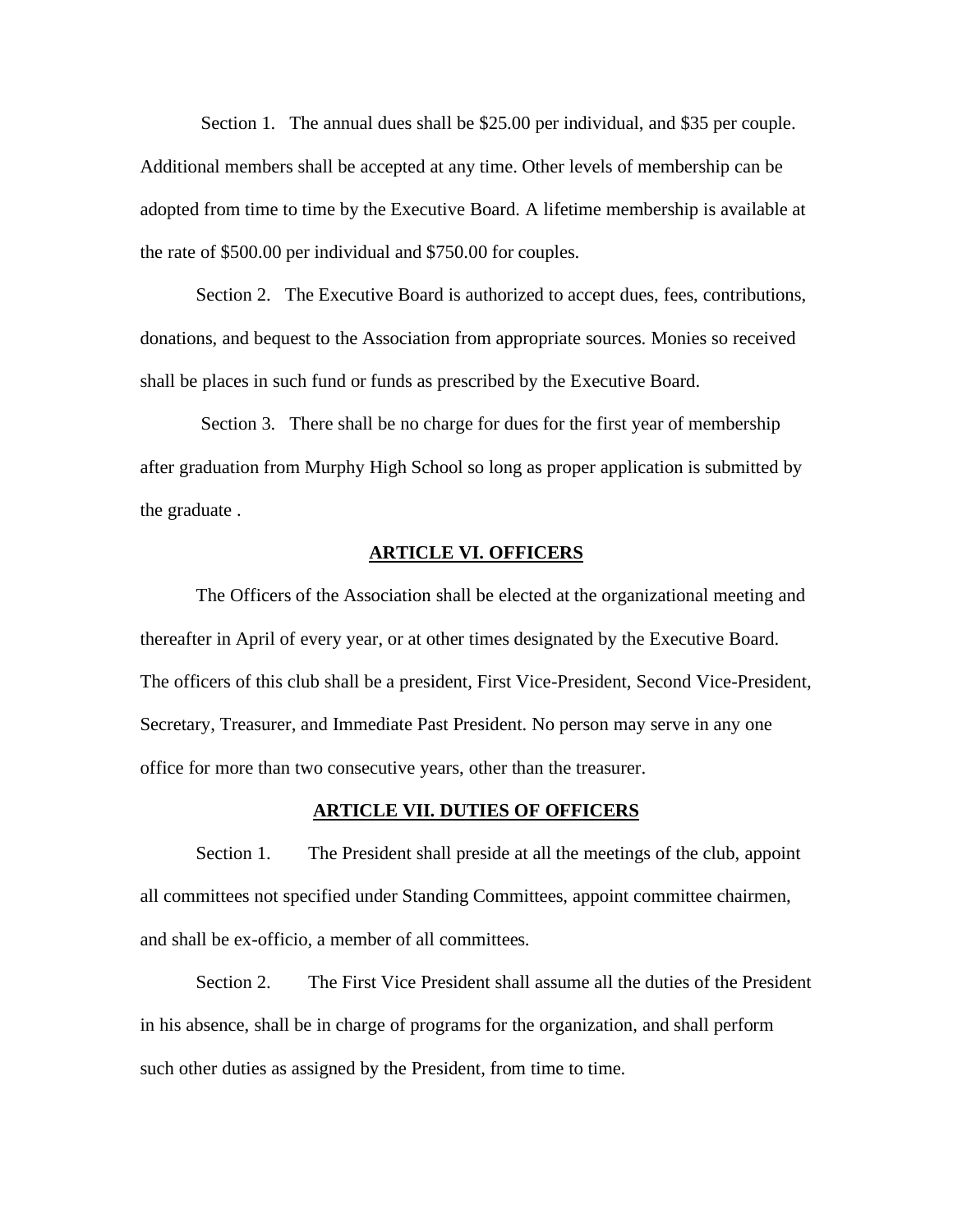Section 1. The annual dues shall be \$25.00 per individual, and \$35 per couple. Additional members shall be accepted at any time. Other levels of membership can be adopted from time to time by the Executive Board. A lifetime membership is available at the rate of \$500.00 per individual and \$750.00 for couples.

Section 2. The Executive Board is authorized to accept dues, fees, contributions, donations, and bequest to the Association from appropriate sources. Monies so received shall be places in such fund or funds as prescribed by the Executive Board.

Section 3.There shall be no charge for dues for the first year of membership after graduation from Murphy High School so long as proper application is submitted by the graduate .

### **ARTICLE VI. OFFICERS**

The Officers of the Association shall be elected at the organizational meeting and thereafter in April of every year, or at other times designated by the Executive Board. The officers of this club shall be a president, First Vice-President, Second Vice-President, Secretary, Treasurer, and Immediate Past President. No person may serve in any one office for more than two consecutive years, other than the treasurer.

#### **ARTICLE VII. DUTIES OF OFFICERS**

Section 1. The President shall preside at all the meetings of the club, appoint all committees not specified under Standing Committees, appoint committee chairmen, and shall be ex-officio, a member of all committees.

Section 2. The First Vice President shall assume all the duties of the President in his absence, shall be in charge of programs for the organization, and shall perform such other duties as assigned by the President, from time to time.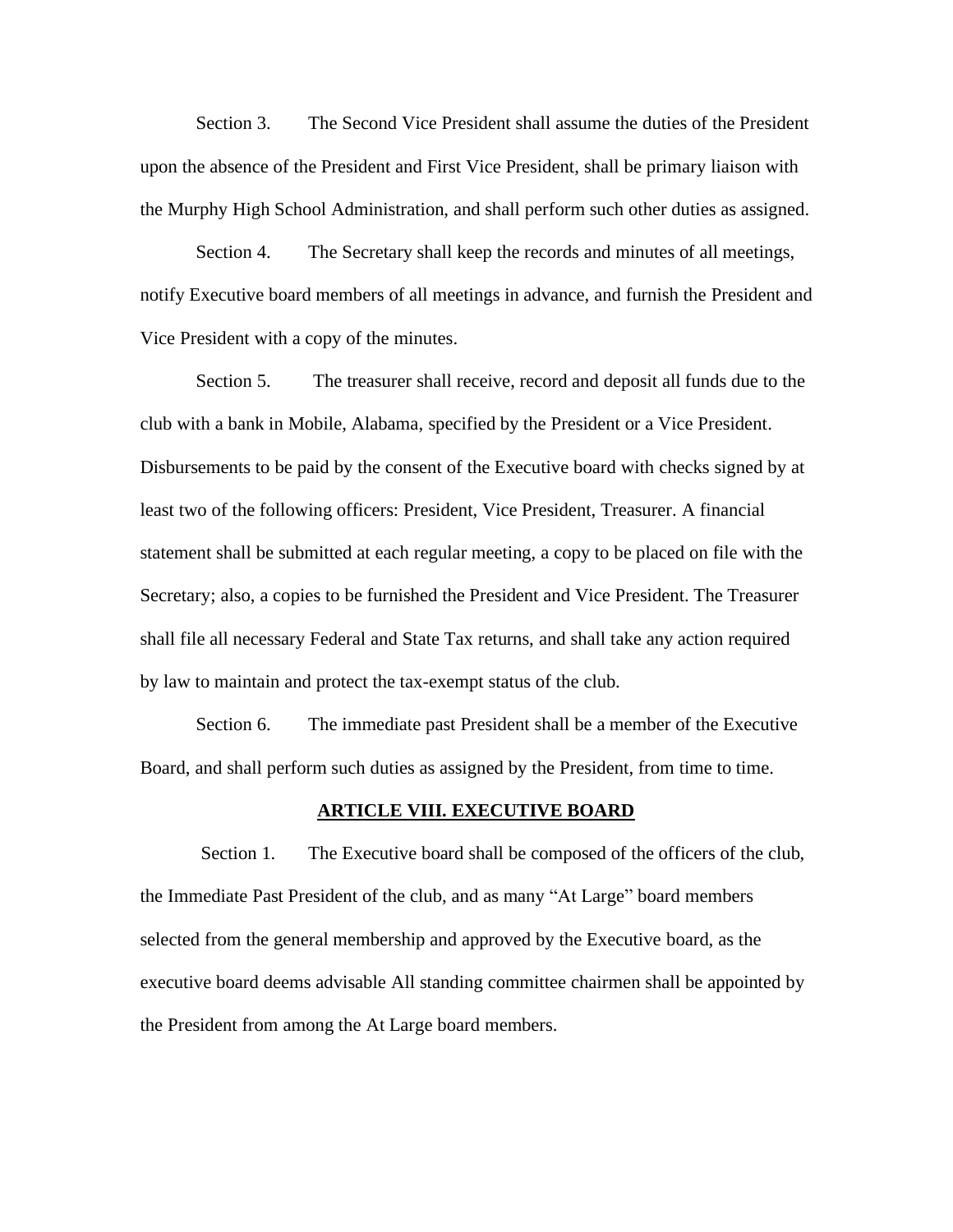Section 3. The Second Vice President shall assume the duties of the President upon the absence of the President and First Vice President, shall be primary liaison with the Murphy High School Administration, and shall perform such other duties as assigned.

Section 4. The Secretary shall keep the records and minutes of all meetings, notify Executive board members of all meetings in advance, and furnish the President and Vice President with a copy of the minutes.

Section 5. The treasurer shall receive, record and deposit all funds due to the club with a bank in Mobile, Alabama, specified by the President or a Vice President. Disbursements to be paid by the consent of the Executive board with checks signed by at least two of the following officers: President, Vice President, Treasurer. A financial statement shall be submitted at each regular meeting, a copy to be placed on file with the Secretary; also, a copies to be furnished the President and Vice President. The Treasurer shall file all necessary Federal and State Tax returns, and shall take any action required by law to maintain and protect the tax-exempt status of the club.

Section 6. The immediate past President shall be a member of the Executive Board, and shall perform such duties as assigned by the President, from time to time.

#### **ARTICLE VIII. EXECUTIVE BOARD**

Section 1. The Executive board shall be composed of the officers of the club, the Immediate Past President of the club, and as many "At Large" board members selected from the general membership and approved by the Executive board, as the executive board deems advisable All standing committee chairmen shall be appointed by the President from among the At Large board members.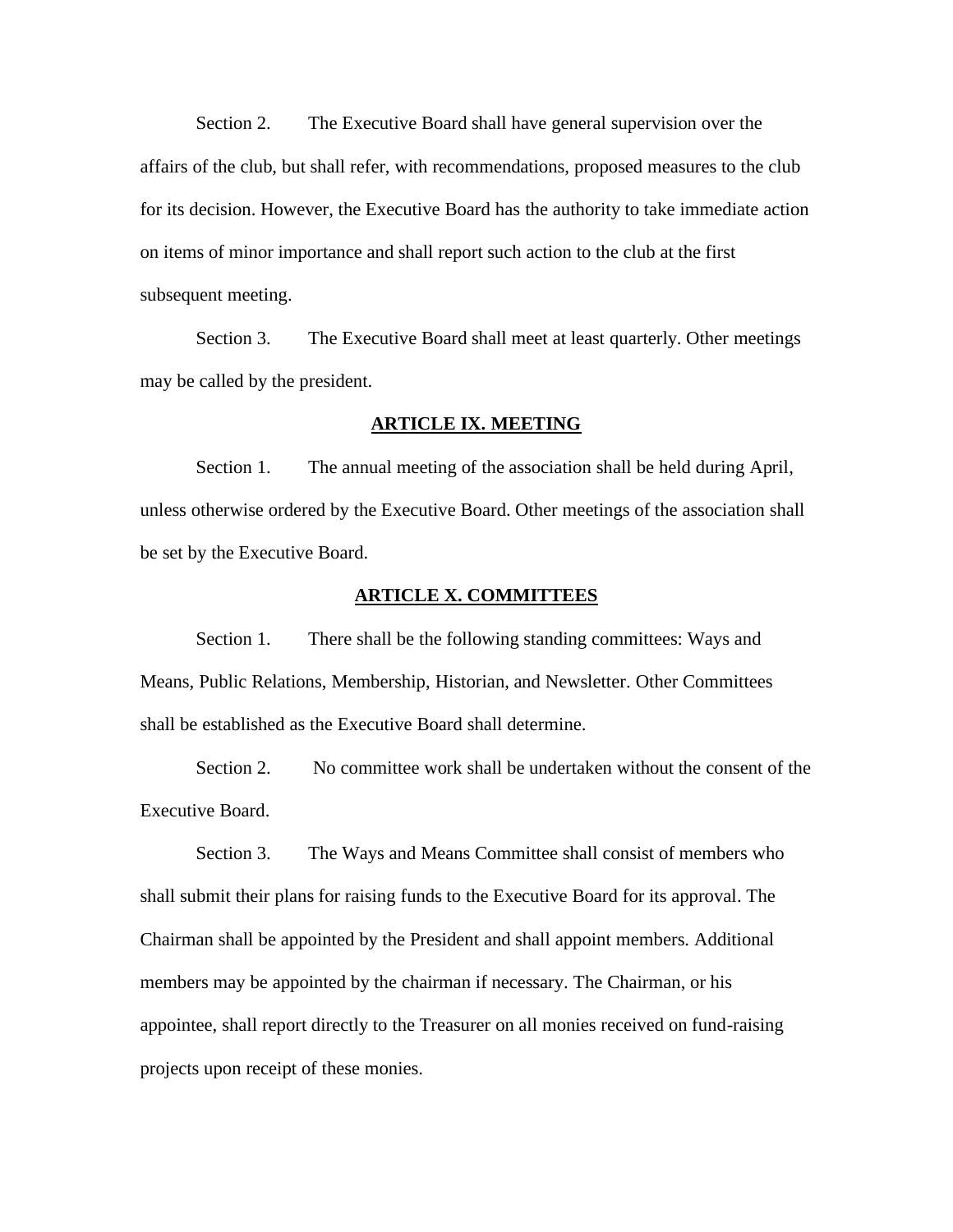Section 2. The Executive Board shall have general supervision over the affairs of the club, but shall refer, with recommendations, proposed measures to the club for its decision. However, the Executive Board has the authority to take immediate action on items of minor importance and shall report such action to the club at the first subsequent meeting.

Section 3. The Executive Board shall meet at least quarterly. Other meetings may be called by the president.

### **ARTICLE IX. MEETING**

Section 1. The annual meeting of the association shall be held during April, unless otherwise ordered by the Executive Board. Other meetings of the association shall be set by the Executive Board.

#### **ARTICLE X. COMMITTEES**

Section 1. There shall be the following standing committees: Ways and Means, Public Relations, Membership, Historian, and Newsletter. Other Committees shall be established as the Executive Board shall determine.

Section 2. No committee work shall be undertaken without the consent of the Executive Board.

Section 3. The Ways and Means Committee shall consist of members who shall submit their plans for raising funds to the Executive Board for its approval. The Chairman shall be appointed by the President and shall appoint members. Additional members may be appointed by the chairman if necessary. The Chairman, or his appointee, shall report directly to the Treasurer on all monies received on fund-raising projects upon receipt of these monies.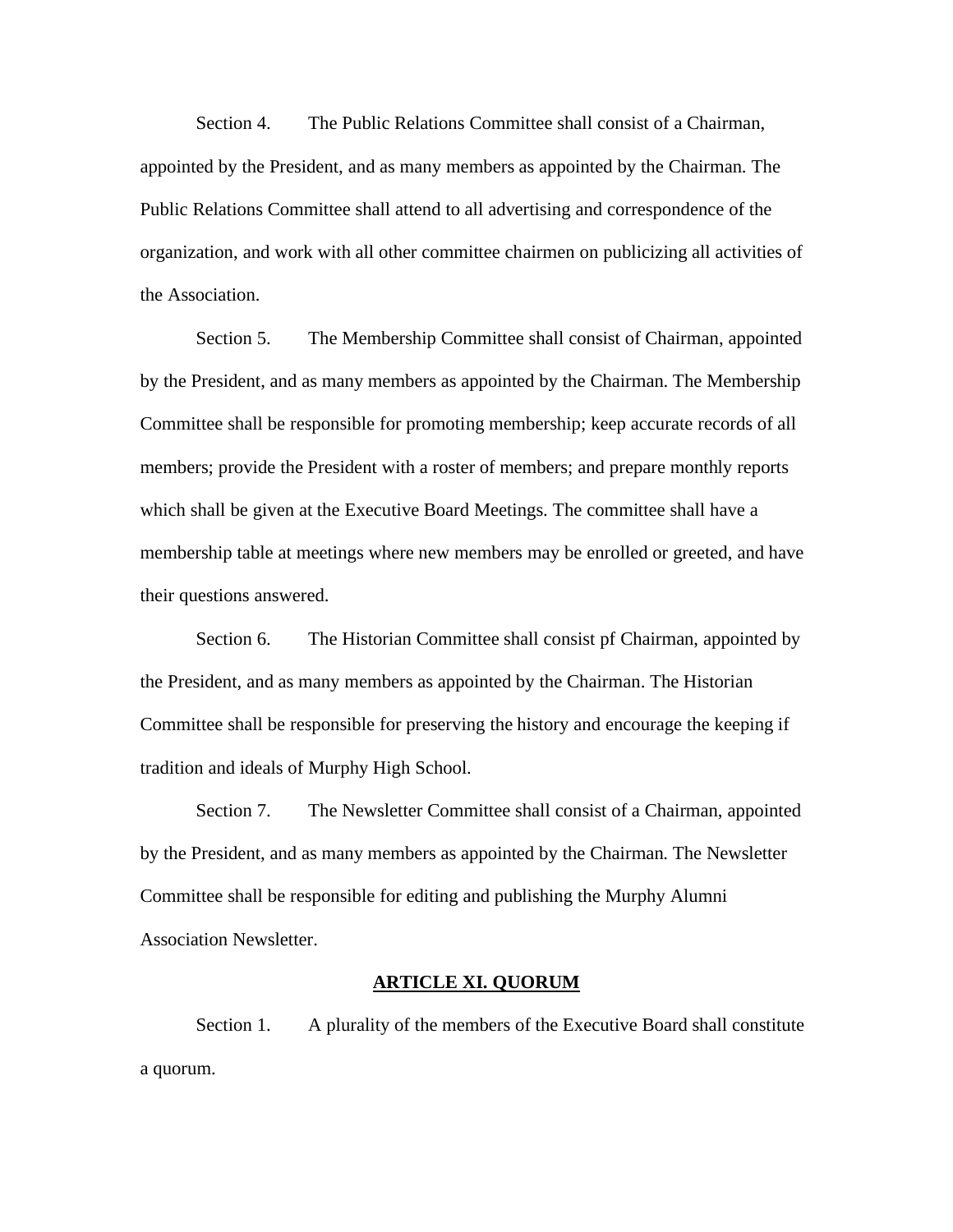Section 4. The Public Relations Committee shall consist of a Chairman, appointed by the President, and as many members as appointed by the Chairman. The Public Relations Committee shall attend to all advertising and correspondence of the organization, and work with all other committee chairmen on publicizing all activities of the Association.

Section 5. The Membership Committee shall consist of Chairman, appointed by the President, and as many members as appointed by the Chairman. The Membership Committee shall be responsible for promoting membership; keep accurate records of all members; provide the President with a roster of members; and prepare monthly reports which shall be given at the Executive Board Meetings. The committee shall have a membership table at meetings where new members may be enrolled or greeted, and have their questions answered.

Section 6. The Historian Committee shall consist pf Chairman, appointed by the President, and as many members as appointed by the Chairman. The Historian Committee shall be responsible for preserving the history and encourage the keeping if tradition and ideals of Murphy High School.

Section 7. The Newsletter Committee shall consist of a Chairman, appointed by the President, and as many members as appointed by the Chairman. The Newsletter Committee shall be responsible for editing and publishing the Murphy Alumni Association Newsletter.

### **ARTICLE XI. QUORUM**

Section 1. A plurality of the members of the Executive Board shall constitute a quorum.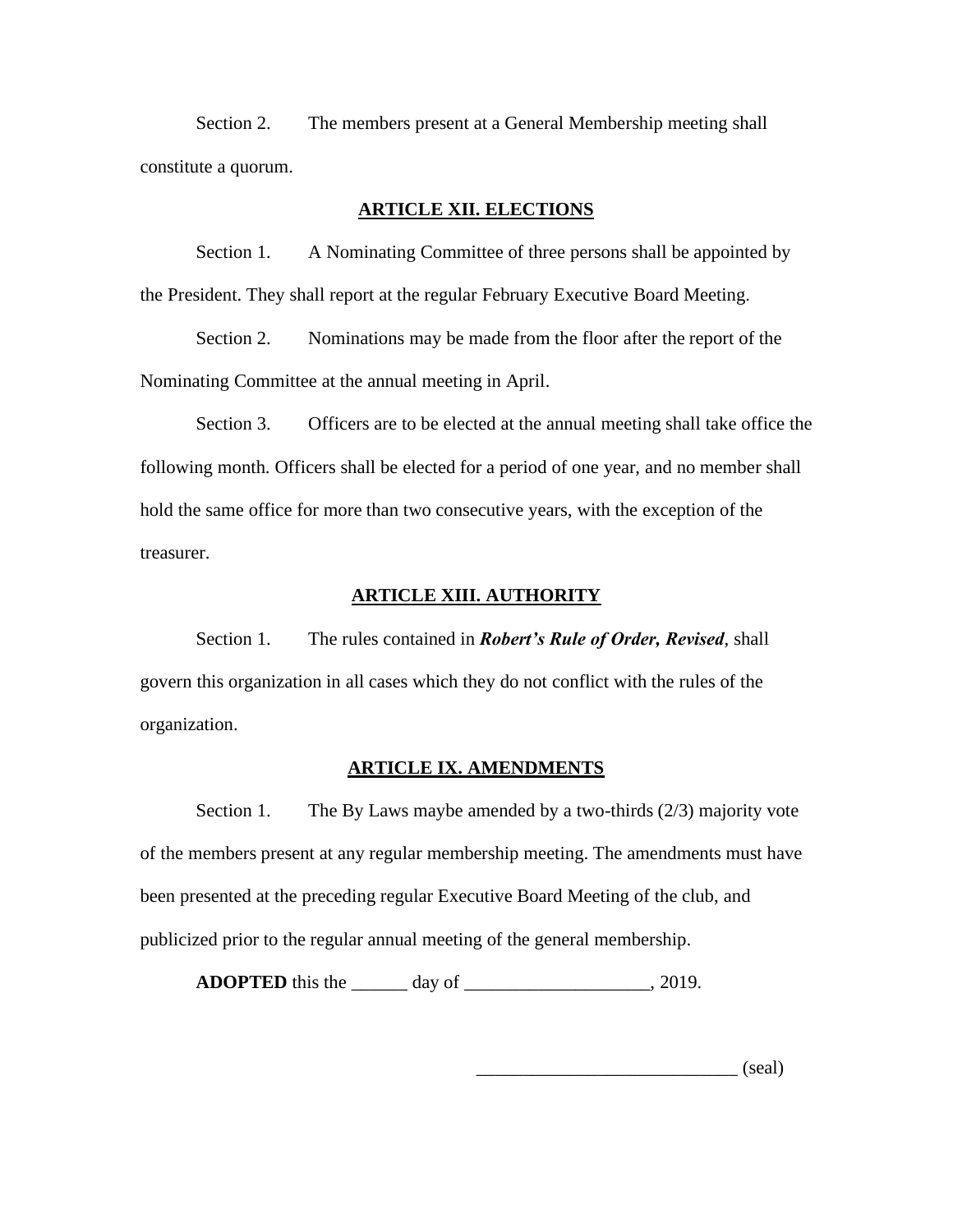Section 2. The members present at a General Membership meeting shall constitute a quorum.

## **ARTICLE XII. ELECTIONS**

Section 1. A Nominating Committee of three persons shall be appointed by the President. They shall report at the regular February Executive Board Meeting.

Section 2. Nominations may be made from the floor after the report of the Nominating Committee at the annual meeting in April.

Section 3. Officers are to be elected at the annual meeting shall take office the following month. Officers shall be elected for a period of one year, and no member shall hold the same office for more than two consecutive years, with the exception of the treasurer.

### **ARTICLE XIII. AUTHORITY**

Section 1. The rules contained in *Robert's Rule of Order, Revised*, shall govern this organization in all cases which they do not conflict with the rules of the organization.

### **ARTICLE IX. AMENDMENTS**

Section 1. The By Laws maybe amended by a two-thirds (2/3) majority vote of the members present at any regular membership meeting. The amendments must have been presented at the preceding regular Executive Board Meeting of the club, and publicized prior to the regular annual meeting of the general membership.

**ADOPTED** this the \_\_\_\_\_\_ day of \_\_\_\_\_\_\_\_\_\_\_\_\_\_\_\_\_\_\_\_\_\_\_\_, 2019.

\_\_\_\_\_\_\_\_\_\_\_\_\_\_\_\_\_\_\_\_\_\_\_\_\_\_\_\_ (seal)